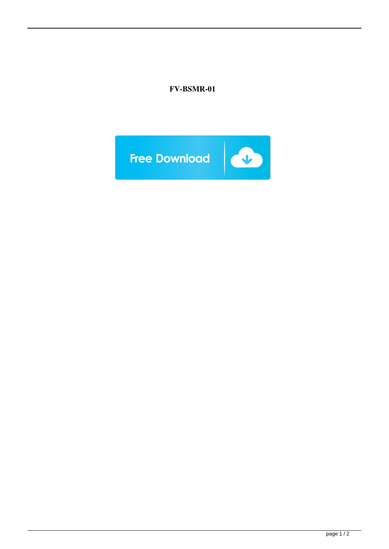## **FV-BSMR-01**